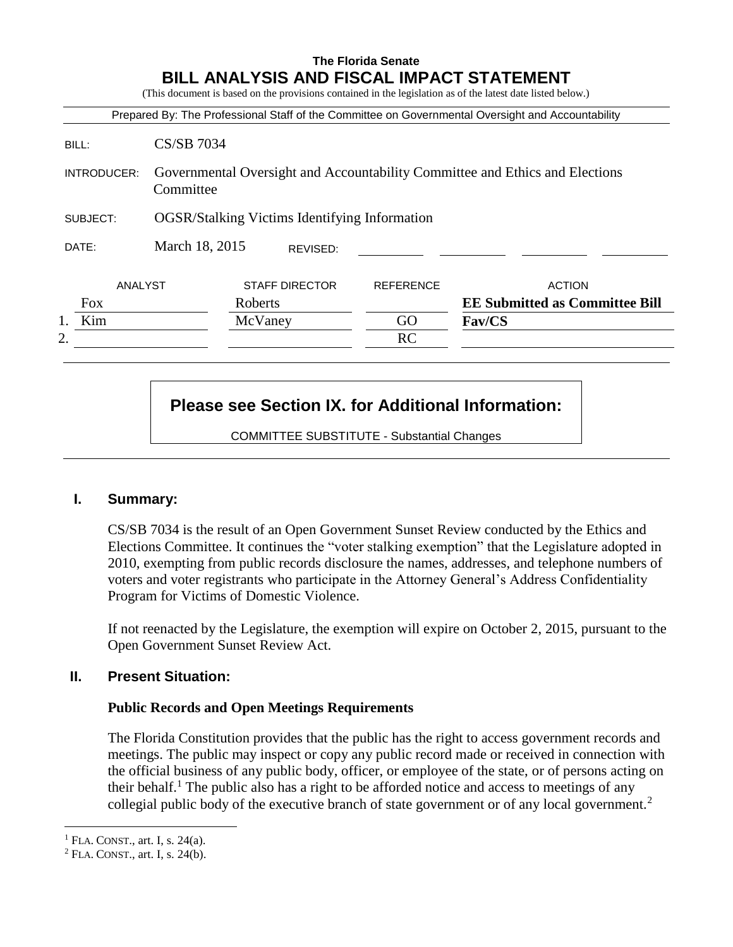## **The Florida Senate BILL ANALYSIS AND FISCAL IMPACT STATEMENT**

(This document is based on the provisions contained in the legislation as of the latest date listed below.)

|             |                                                                                           |                       |                  | Prepared By: The Professional Staff of the Committee on Governmental Oversight and Accountability |
|-------------|-------------------------------------------------------------------------------------------|-----------------------|------------------|---------------------------------------------------------------------------------------------------|
| BILL:       | <b>CS/SB 7034</b>                                                                         |                       |                  |                                                                                                   |
| INTRODUCER: | Governmental Oversight and Accountability Committee and Ethics and Elections<br>Committee |                       |                  |                                                                                                   |
| SUBJECT:    | <b>OGSR/Stalking Victims Identifying Information</b>                                      |                       |                  |                                                                                                   |
| DATE:       | March 18, 2015                                                                            | REVISED:              |                  |                                                                                                   |
| ANALYST     |                                                                                           | <b>STAFF DIRECTOR</b> | <b>REFERENCE</b> | <b>ACTION</b>                                                                                     |
| Fox         |                                                                                           | Roberts               |                  | <b>EE Submitted as Committee Bill</b>                                                             |
| Kim         |                                                                                           | McVaney               | GO               | Fav/CS                                                                                            |
| 2.          |                                                                                           |                       | RC               |                                                                                                   |
|             |                                                                                           |                       |                  |                                                                                                   |
|             |                                                                                           |                       |                  |                                                                                                   |

# **Please see Section IX. for Additional Information:**

COMMITTEE SUBSTITUTE - Substantial Changes

#### **I. Summary:**

CS/SB 7034 is the result of an Open Government Sunset Review conducted by the Ethics and Elections Committee. It continues the "voter stalking exemption" that the Legislature adopted in 2010, exempting from public records disclosure the names, addresses, and telephone numbers of voters and voter registrants who participate in the Attorney General's Address Confidentiality Program for Victims of Domestic Violence.

If not reenacted by the Legislature, the exemption will expire on October 2, 2015, pursuant to the Open Government Sunset Review Act.

## **II. Present Situation:**

#### **Public Records and Open Meetings Requirements**

The Florida Constitution provides that the public has the right to access government records and meetings. The public may inspect or copy any public record made or received in connection with the official business of any public body, officer, or employee of the state, or of persons acting on their behalf.<sup>1</sup> The public also has a right to be afforded notice and access to meetings of any collegial public body of the executive branch of state government or of any local government.<sup>2</sup>

 $\overline{a}$ 

<sup>&</sup>lt;sup>1</sup> FLA. CONST., art. I, s.  $24(a)$ .

 $2$  FLA. CONST., art. I, s. 24(b).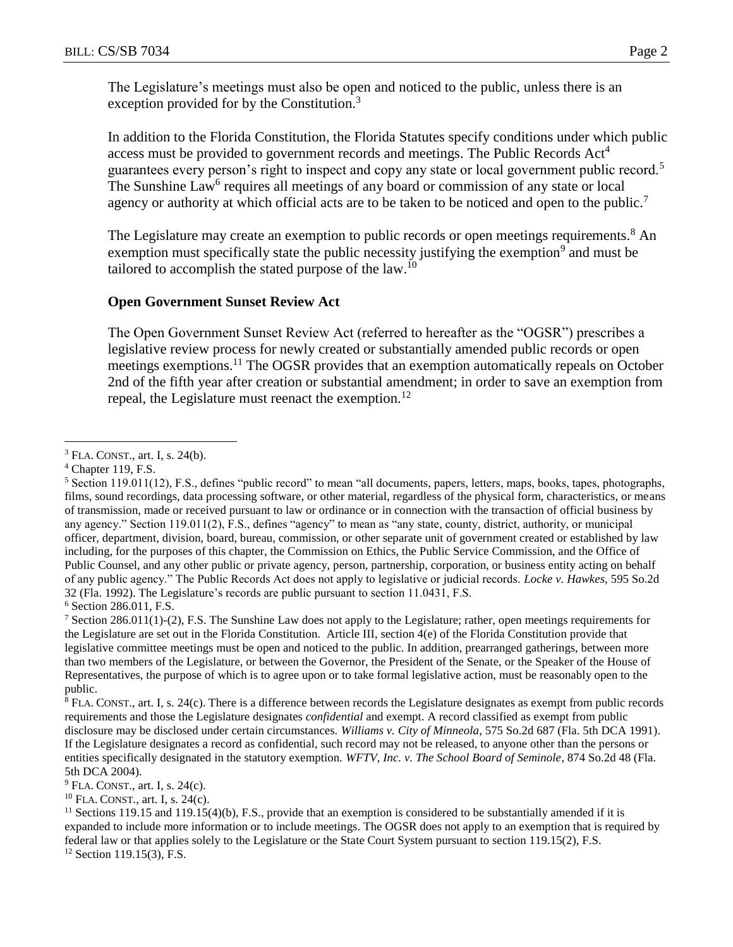The Legislature's meetings must also be open and noticed to the public, unless there is an exception provided for by the Constitution.<sup>3</sup>

In addition to the Florida Constitution, the Florida Statutes specify conditions under which public access must be provided to government records and meetings. The Public Records Act<sup>4</sup> guarantees every person's right to inspect and copy any state or local government public record.<sup>5</sup> The Sunshine Law<sup>6</sup> requires all meetings of any board or commission of any state or local agency or authority at which official acts are to be taken to be noticed and open to the public.<sup>7</sup>

The Legislature may create an exemption to public records or open meetings requirements.<sup>8</sup> An exemption must specifically state the public necessity justifying the exemption<sup>9</sup> and must be tailored to accomplish the stated purpose of the law.<sup>10</sup>

#### **Open Government Sunset Review Act**

The Open Government Sunset Review Act (referred to hereafter as the "OGSR") prescribes a legislative review process for newly created or substantially amended public records or open meetings exemptions.<sup>11</sup> The OGSR provides that an exemption automatically repeals on October 2nd of the fifth year after creation or substantial amendment; in order to save an exemption from repeal, the Legislature must reenact the exemption.<sup>12</sup>

<sup>6</sup> Section 286.011, F.S.

<sup>7</sup> Section 286.011(1)-(2), F.S. The Sunshine Law does not apply to the Legislature; rather, open meetings requirements for the Legislature are set out in the Florida Constitution. Article III, section 4(e) of the Florida Constitution provide that legislative committee meetings must be open and noticed to the public. In addition, prearranged gatherings, between more than two members of the Legislature, or between the Governor, the President of the Senate, or the Speaker of the House of Representatives, the purpose of which is to agree upon or to take formal legislative action, must be reasonably open to the public.

<sup>8</sup> FLA. CONST., art. I, s. 24(c). There is a difference between records the Legislature designates as exempt from public records requirements and those the Legislature designates *confidential* and exempt. A record classified as exempt from public disclosure may be disclosed under certain circumstances. *Williams v. City of Minneola*, 575 So.2d 687 (Fla. 5th DCA 1991). If the Legislature designates a record as confidential, such record may not be released, to anyone other than the persons or entities specifically designated in the statutory exemption. *WFTV, Inc. v. The School Board of Seminole*, 874 So.2d 48 (Fla. 5th DCA 2004).

 $10$  FLA. CONST., art. I, s. 24(c).

<sup>11</sup> Sections 119.15 and 119.15(4)(b), F.S., provide that an exemption is considered to be substantially amended if it is expanded to include more information or to include meetings. The OGSR does not apply to an exemption that is required by federal law or that applies solely to the Legislature or the State Court System pursuant to section 119.15(2), F.S.

 $12$  Section 119.15(3), F.S.

 $\overline{a}$ <sup>3</sup> FLA. CONST., art. I, s. 24(b).

<sup>4</sup> Chapter 119, F.S.

 $5$  Section 119.011(12), F.S., defines "public record" to mean "all documents, papers, letters, maps, books, tapes, photographs, films, sound recordings, data processing software, or other material, regardless of the physical form, characteristics, or means of transmission, made or received pursuant to law or ordinance or in connection with the transaction of official business by any agency." Section 119.011(2), F.S., defines "agency" to mean as "any state, county, district, authority, or municipal officer, department, division, board, bureau, commission, or other separate unit of government created or established by law including, for the purposes of this chapter, the Commission on Ethics, the Public Service Commission, and the Office of Public Counsel, and any other public or private agency, person, partnership, corporation, or business entity acting on behalf of any public agency." The Public Records Act does not apply to legislative or judicial records. *Locke v. Hawkes*, 595 So.2d 32 (Fla. 1992). The Legislature's records are public pursuant to section 11.0431, F.S.

 $9$  FLA. CONST., art. I, s. 24(c).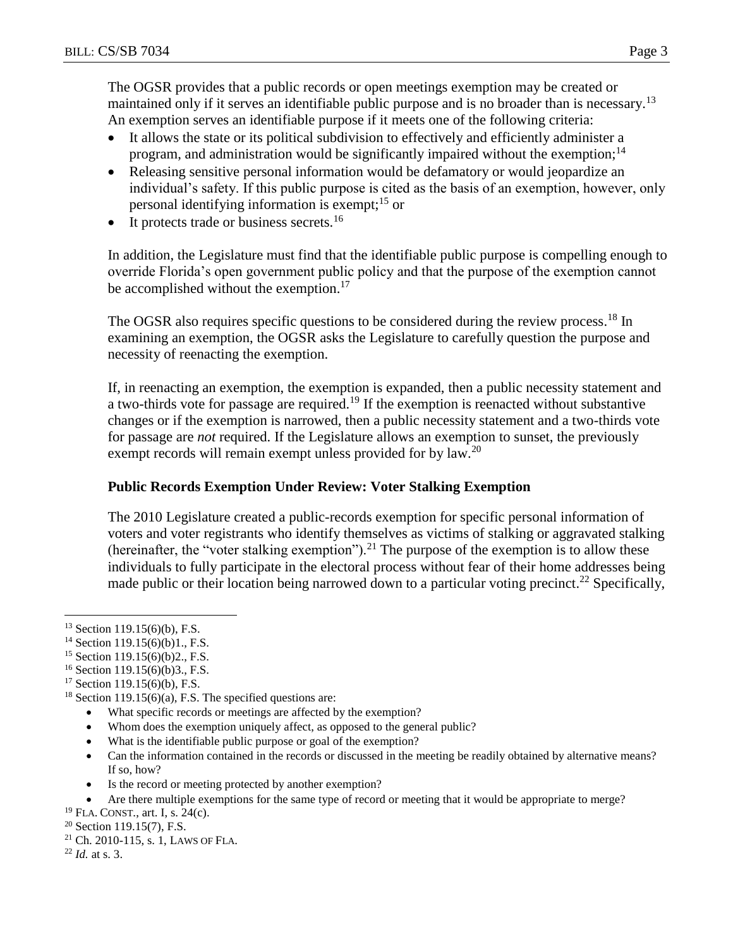The OGSR provides that a public records or open meetings exemption may be created or maintained only if it serves an identifiable public purpose and is no broader than is necessary.<sup>13</sup> An exemption serves an identifiable purpose if it meets one of the following criteria:

- It allows the state or its political subdivision to effectively and efficiently administer a program, and administration would be significantly impaired without the exemption;<sup>14</sup>
- Releasing sensitive personal information would be defamatory or would jeopardize an individual's safety. If this public purpose is cited as the basis of an exemption, however, only personal identifying information is exempt;<sup>15</sup> or
- It protects trade or business secrets.<sup>16</sup>

In addition, the Legislature must find that the identifiable public purpose is compelling enough to override Florida's open government public policy and that the purpose of the exemption cannot be accomplished without the exemption.<sup>17</sup>

The OGSR also requires specific questions to be considered during the review process.<sup>18</sup> In examining an exemption, the OGSR asks the Legislature to carefully question the purpose and necessity of reenacting the exemption.

If, in reenacting an exemption, the exemption is expanded, then a public necessity statement and a two-thirds vote for passage are required.<sup>19</sup> If the exemption is reenacted without substantive changes or if the exemption is narrowed, then a public necessity statement and a two-thirds vote for passage are *not* required. If the Legislature allows an exemption to sunset, the previously exempt records will remain exempt unless provided for by law.<sup>20</sup>

## **Public Records Exemption Under Review: Voter Stalking Exemption**

The 2010 Legislature created a public-records exemption for specific personal information of voters and voter registrants who identify themselves as victims of stalking or aggravated stalking (hereinafter, the "voter stalking exemption").<sup>21</sup> The purpose of the exemption is to allow these individuals to fully participate in the electoral process without fear of their home addresses being made public or their location being narrowed down to a particular voting precinct.<sup>22</sup> Specifically,

 $\overline{a}$ 

- What specific records or meetings are affected by the exemption?
- Whom does the exemption uniquely affect, as opposed to the general public?
- What is the identifiable public purpose or goal of the exemption?
- Can the information contained in the records or discussed in the meeting be readily obtained by alternative means? If so, how?
- Is the record or meeting protected by another exemption?
- Are there multiple exemptions for the same type of record or meeting that it would be appropriate to merge?

<sup>21</sup> Ch. 2010-115, s. 1, LAWS OF FLA.

 $13$  Section 119.15(6)(b), F.S.

<sup>&</sup>lt;sup>14</sup> Section 119.15(6)(b)1., F.S.

<sup>15</sup> Section 119.15(6)(b)2., F.S.

<sup>&</sup>lt;sup>16</sup> Section 119.15(6)(b)3., F.S.

<sup>17</sup> Section 119.15(6)(b), F.S.

 $18$  Section 119.15(6)(a), F.S. The specified questions are:

 $19$  FLA. CONST., art. I, s. 24(c).

 $20$  Section 119.15(7), F.S.

<sup>22</sup> *Id.* at s. 3.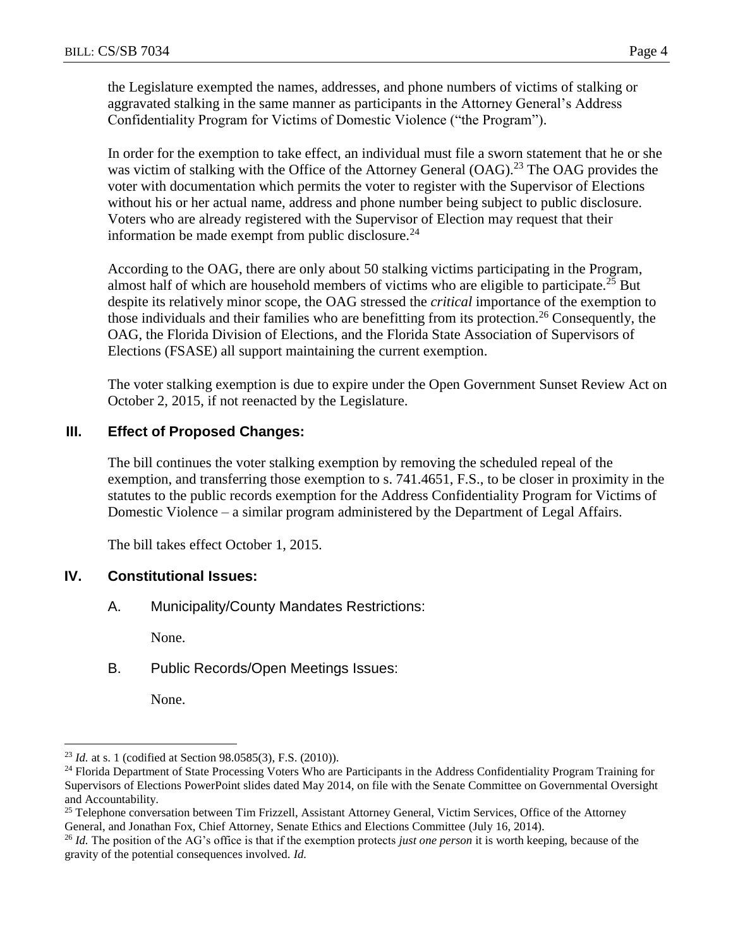the Legislature exempted the names, addresses, and phone numbers of victims of stalking or aggravated stalking in the same manner as participants in the Attorney General's Address Confidentiality Program for Victims of Domestic Violence ("the Program").

In order for the exemption to take effect, an individual must file a sworn statement that he or she was victim of stalking with the Office of the Attorney General  $(OAG)$ .<sup>23</sup> The OAG provides the voter with documentation which permits the voter to register with the Supervisor of Elections without his or her actual name, address and phone number being subject to public disclosure. Voters who are already registered with the Supervisor of Election may request that their information be made exempt from public disclosure.<sup>24</sup>

According to the OAG, there are only about 50 stalking victims participating in the Program, almost half of which are household members of victims who are eligible to participate.<sup>25</sup> But despite its relatively minor scope, the OAG stressed the *critical* importance of the exemption to those individuals and their families who are benefitting from its protection.<sup>26</sup> Consequently, the OAG, the Florida Division of Elections, and the Florida State Association of Supervisors of Elections (FSASE) all support maintaining the current exemption.

The voter stalking exemption is due to expire under the Open Government Sunset Review Act on October 2, 2015, if not reenacted by the Legislature.

## **III. Effect of Proposed Changes:**

The bill continues the voter stalking exemption by removing the scheduled repeal of the exemption, and transferring those exemption to s. 741.4651, F.S., to be closer in proximity in the statutes to the public records exemption for the Address Confidentiality Program for Victims of Domestic Violence – a similar program administered by the Department of Legal Affairs.

The bill takes effect October 1, 2015.

#### **IV. Constitutional Issues:**

A. Municipality/County Mandates Restrictions:

None.

B. Public Records/Open Meetings Issues:

None.

 $\overline{a}$ 

<sup>23</sup> *Id.* at s. 1 (codified at Section 98.0585(3), F.S. (2010)).

<sup>&</sup>lt;sup>24</sup> Florida Department of State Processing Voters Who are Participants in the Address Confidentiality Program Training for Supervisors of Elections PowerPoint slides dated May 2014, on file with the Senate Committee on Governmental Oversight and Accountability.

<sup>&</sup>lt;sup>25</sup> Telephone conversation between Tim Frizzell, Assistant Attorney General, Victim Services, Office of the Attorney General, and Jonathan Fox, Chief Attorney, Senate Ethics and Elections Committee (July 16, 2014).

<sup>26</sup> *Id.* The position of the AG's office is that if the exemption protects *just one person* it is worth keeping, because of the gravity of the potential consequences involved. *Id.*